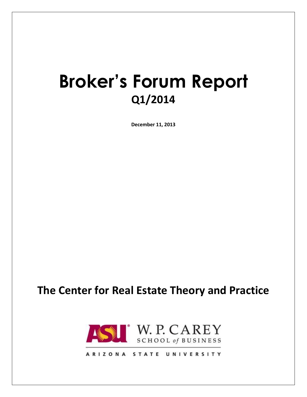## **Broker's Forum Report Q1/2014**

**December 11, 2013**

### **The Center for Real Estate Theory and Practice**



ARIZONA STATE UNIVERSITY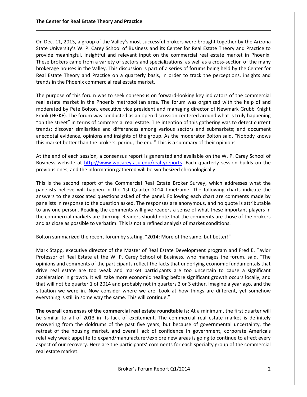On Dec. 11, 2013, a group of the Valley's most successful brokers were brought together by the Arizona State University's W. P. Carey School of Business and its Center for Real Estate Theory and Practice to provide meaningful, insightful and relevant input on the commercial real estate market in Phoenix. These brokers came from a variety of sectors and specializations, as well as a cross-section of the many brokerage houses in the Valley. This discussion is part of a series of forums being held by the Center for Real Estate Theory and Practice on a quarterly basis, in order to track the perceptions, insights and trends in the Phoenix commercial real estate market.

The purpose of this forum was to seek consensus on forward-looking key indicators of the commercial real estate market in the Phoenix metropolitan area. The forum was organized with the help of and moderated by Pete Bolton, executive vice president and managing director of Newmark Grubb Knight Frank (NGKF). The forum was conducted as an open discussion centered around what is truly happening "on the street" in terms of commercial real estate. The intention of this gathering was to detect current trends; discover similarities and differences among various sectors and submarkets; and document anecdotal evidence, opinions and insights of the group. As the moderator Bolton said, "Nobody knows this market better than the brokers, period, the end." This is a summary of their opinions.

At the end of each session, a consensus report is generated and available on the W. P. Carey School of Business website at [http://www.wpcarey.asu.edu/realtyreports.](http://www.wpcarey.asu.edu/realtyreports) Each quarterly session builds on the previous ones, and the information gathered will be synthesized chronologically.

This is the second report of the Commercial Real Estate Broker Survey, which addresses what the panelists believe will happen in the 1st Quarter 2014 timeframe. The following charts indicate the answers to the associated questions asked of the panel. Following each chart are comments made by panelists in response to the question asked. The responses are anonymous, and no quote is attributable to any one person. Reading the comments will give readers a sense of what these important players in the commercial markets are thinking. Readers should note that the comments are those of the brokers and as close as possible to verbatim. This is not a refined analysis of market conditions.

Bolton summarized the recent forum by stating, "2014: More of the same, but better!"

Mark Stapp, executive director of the Master of Real Estate Development program and Fred E. Taylor Professor of Real Estate at the W. P. Carey School of Business, who manages the forum, said, "The opinions and comments of the participants reflect the facts that underlying economic fundamentals that drive real estate are too weak and market participants are too uncertain to cause a significant acceleration in growth. It will take more economic healing before significant growth occurs locally, and that will not be quarter 1 of 2014 and probably not in quarters 2 or 3 either. Imagine a year ago, and the situation we were in. Now consider where we are. Look at how things are different, yet somehow everything is still in some way the same. This will continue."

**The overall consensus of the commercial real estate roundtable is:** At a minimum, the first quarter will be similar to all of 2013 in its lack of excitement. The commercial real estate market is definitely recovering from the doldrums of the past five years, but because of governmental uncertainty, the retreat of the housing market, and overall lack of confidence in government, corporate America's relatively weak appetite to expand/manufacturer/explore new areas is going to continue to affect every aspect of our recovery. Here are the participants' comments for each specialty group of the commercial real estate market: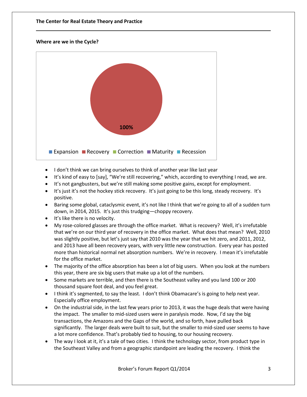#### **Where are we in the Cycle?**



- I don't think we can bring ourselves to think of another year like last year
- It's kind of easy to [say], "We're still recovering," which, according to everything I read, we are.
- It's not gangbusters, but we're still making some positive gains, except for employment.
- It's just it's not the hockey stick recovery. It's just going to be this long, steady recovery. It's positive.
- Baring some global, cataclysmic event, it's not like I think that we're going to all of a sudden turn down, in 2014, 2015. It's just this trudging—choppy recovery.
- It's like there is no velocity.
- My rose-colored glasses are through the office market. What is recovery? Well, it's irrefutable that we're on our third year of recovery in the office market. What does that mean? Well, 2010 was slightly positive, but let's just say that 2010 was the year that we hit zero, and 2011, 2012, and 2013 have all been recovery years, with very little new construction. Every year has posted more than historical normal net absorption numbers. We're in recovery. I mean it's irrefutable for the office market.
- The majority of the office absorption has been a lot of big users. When you look at the numbers this year, there are six big users that make up a lot of the numbers.
- Some markets are terrible, and then there is the Southeast valley and you land 100 or 200 thousand square foot deal, and you feel great.
- I think it's segmented, to say the least. I don't think Obamacare's is going to help next year. Especially office employment.
- On the industrial side, in the last few years prior to 2013, it was the huge deals that were having the impact. The smaller to mid-sized users were in paralysis mode. Now, I'd say the big transactions, the Amazons and the Gaps of the world, and so forth, have pulled back significantly. The larger deals were built to suit, but the smaller to mid-sized user seems to have a lot more confidence. That's probably tied to housing, to our housing recovery.
- The way I look at it, it's a tale of two cities. I think the technology sector, from product type in the Southeast Valley and from a geographic standpoint are leading the recovery. I think the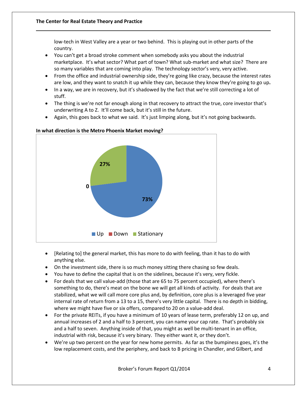low-tech in West Valley are a year or two behind. This is playing out in other parts of the country.

- You can't get a broad stroke comment when somebody asks you about the industrial marketplace. It's what sector? What part of town? What sub-market and what size? There are so many variables that are coming into play. The technology sector's very, very active.
- From the office and industrial ownership side, they're going like crazy, because the interest rates are low, and they want to snatch it up while they can, because they know they're going to go up**.**
- In a way, we are in recovery, but it's shadowed by the fact that we're still correcting a lot of stuff.
- The thing is we're not far enough along in that recovery to attract the true, core investor that's underwriting A to Z. It'll come back, but it's still in the future.
- Again, this goes back to what we said. It's just limping along, but it's not going backwards.



#### **In what direction is the Metro Phoenix Market moving?**

- [Relating to] the general market, this has more to do with feeling, than it has to do with anything else.
- On the investment side, there is so much money sitting there chasing so few deals.
- You have to define the capital that is on the sidelines, because it's very, very fickle.
- For deals that we call value-add (those that are 65 to 75 percent occupied), where there's something to do, there's meat on the bone we will get all kinds of activity. For deals that are stabilized, what we will call more core plus and, by definition, core plus is a leveraged five year internal rate of return from a 13 to a 15, there's very little capital. There is no depth in bidding, where we might have five or six offers, compared to 20 on a value-add deal.
- For the private REITs, if you have a minimum of 10 years of lease term, preferably 12 on up, and annual increases of 2 and a half to 3 percent, you can name your cap rate. That's probably six and a half to seven. Anything inside of that, you might as well be multi-tenant in an office, industrial with risk, because it's very binary. They either want it, or they don't.
- We're up two percent on the year for new home permits. As far as the bumpiness goes, it's the low replacement costs, and the periphery, and back to B pricing in Chandler, and Gilbert, and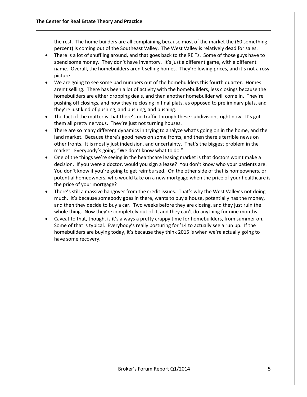the rest. The home builders are all complaining because most of the market the (60 something percent) is coming out of the Southeast Valley. The West Valley is relatively dead for sales.

- There is a lot of shuffling around, and that goes back to the REITs. Some of those guys have to spend some money. They don't have inventory. It's just a different game, with a different name. Overall, the homebuilders aren't selling homes. They're lowing prices, and it's not a rosy picture.
- We are going to see some bad numbers out of the homebuilders this fourth quarter. Homes aren't selling. There has been a lot of activity with the homebuilders, less closings because the homebuilders are either dropping deals, and then another homebuilder will come in. They're pushing off closings, and now they're closing in final plats, as opposed to preliminary plats, and they're just kind of pushing, and pushing, and pushing.
- The fact of the matter is that there's no traffic through these subdivisions right now. It's got them all pretty nervous. They're just not turning houses.
- There are so many different dynamics in trying to analyze what's going on in the home, and the land market. Because there's good news on some fronts, and then there's terrible news on other fronts. It is mostly just indecision, and uncertainty. That's the biggest problem in the market. Everybody's going, "We don't know what to do."
- One of the things we're seeing in the healthcare leasing market is that doctors won't make a decision. If you were a doctor, would you sign a lease? You don't know who your patients are. You don't know if you're going to get reimbursed. On the other side of that is homeowners, or potential homeowners, who would take on a new mortgage when the price of your healthcare is the price of your mortgage?
- There's still a massive hangover from the credit issues. That's why the West Valley's not doing much. It's because somebody goes in there, wants to buy a house, potentially has the money, and then they decide to buy a car. Two weeks before they are closing, and they just ruin the whole thing. Now they're completely out of it, and they can't do anything for nine months.
- Caveat to that, though, is it's always a pretty crappy time for homebuilders, from summer on. Some of that is typical. Everybody's really posturing for '14 to actually see a run up. If the homebuilders are buying today, it's because they think 2015 is when we're actually going to have some recovery.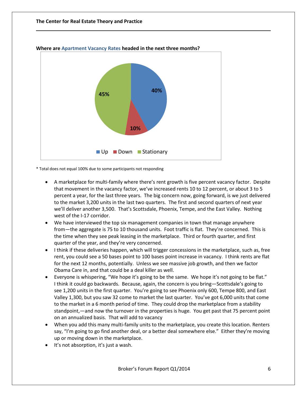

**Where are Apartment Vacancy Rates headed in the next three months?**

\* Total does not equal 100% due to some participants not responding

- A marketplace for multi-family where there's rent growth is five percent vacancy factor. Despite that movement in the vacancy factor, we've increased rents 10 to 12 percent, or about 3 to 5 percent a year, for the last three years. The big concern now, going forward, is we just delivered to the market 3,200 units in the last two quarters. The first and second quarters of next year we'll deliver another 3,500. That's Scottsdale, Phoenix, Tempe, and the East Valley. Nothing west of the I-17 corridor.
- We have interviewed the top six management companies in town that manage anywhere from—the aggregate is 75 to 10 thousand units. Foot traffic is flat. They're concerned. This is the time when they see peak leasing in the marketplace. Third or fourth quarter, and first quarter of the year, and they're very concerned.
- I think if these deliveries happen, which will trigger concessions in the marketplace, such as, free rent, you could see a 50 bases point to 100 bases point increase in vacancy. I think rents are flat for the next 12 months, potentially. Unless we see massive job growth, and then we factor Obama Care in, and that could be a deal killer as well.
- Everyone is whispering, "We hope it's going to be the same. We hope it's not going to be flat." I think it could go backwards. Because, again, the concern is you bring—Scottsdale's going to see 1,200 units in the first quarter. You're going to see Phoenix only 600, Tempe 800, and East Valley 1,300, but you saw 32 come to market the last quarter. You've got 6,000 units that come to the market in a 6 month period of time. They could drop the marketplace from a stability standpoint,—and now the turnover in the properties is huge. You get past that 75 percent point on an annualized basis. That will add to vacancy
- When you add this many multi-family units to the marketplace, you create this location. Renters say, "I'm going to go find another deal, or a better deal somewhere else." Either they're moving up or moving down in the marketplace.
- It's not absorption, it's just a wash.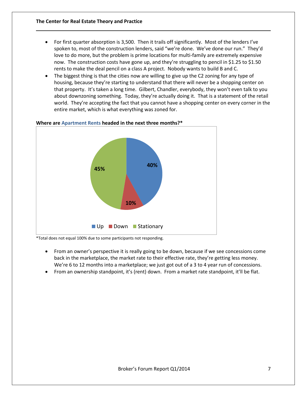- For first quarter absorption is 3,500. Then it trails off significantly. Most of the lenders I've spoken to, most of the construction lenders, said "we're done. We've done our run." They'd love to do more, but the problem is prime locations for multi-family are extremely expensive now. The construction costs have gone up, and they're struggling to pencil in \$1.25 to \$1.50 rents to make the deal pencil on a class A project. Nobody wants to build B and C.
- The biggest thing is that the cities now are willing to give up the C2 zoning for any type of housing, because they're starting to understand that there will never be a shopping center on that property. It's taken a long time. Gilbert, Chandler, everybody, they won't even talk to you about downzoning something. Today, they're actually doing it. That is a statement of the retail world. They're accepting the fact that you cannot have a shopping center on every corner in the entire market, which is what everything was zoned for.



#### **Where are Apartment Rents headed in the next three months?\***

\*Total does not equal 100% due to some participants not responding.

- From an owner's perspective it is really going to be down, because if we see concessions come back in the marketplace, the market rate to their effective rate, they're getting less money. We're 6 to 12 months into a marketplace; we just got out of a 3 to 4 year run of concessions.
- From an ownership standpoint, it's (rent) down. From a market rate standpoint, it'll be flat.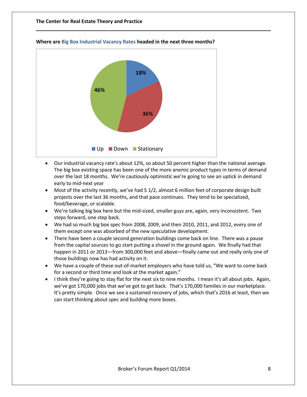

#### **Where are Big Box Industrial Vacancy Rates headed in the next three months?**

- Our industrial vacancy rate's about 12%, so about 50 percent higher than the national average. The big box existing space has been one of the more anemic product types in terms of demand over the last 18 months. We're cautiously optimistic we're going to see an uptick in demand early to mid-next year
- Most of the activity recently, we've had 5 1/2, almost 6 million feet of corporate design built projects over the last 36 months, and that pace continues. They tend to be specialized, food/beverage, or scalable.
- We're talking big box here but the mid-sized, smaller guys are, again, very inconsistent. Two steps forward, one step back.
- We had so much big box spec from 2008, 2009, and then 2010, 2011, and 2012, every one of them except one was absorbed of the new speculative development.
- There have been a couple second generation buildings come back on line. There was a pause from the capital sources to go start putting a shovel in the ground again. We finally had that happen in 2011 or 2013—from 300,000 feet and above—finally came out and really only one of those buildings now has had activity on it.
- We have a couple of these out-of-market employers who have told us, "We want to come back for a second or third time and look at the market again."
- I think they're going to stay flat for the next six to nine months. I mean it's all about jobs. Again, we've got 170,000 jobs that we've got to get back. That's 170,000 families in our marketplace. It's pretty simple. Once we see a sustained recovery of jobs, which that's 2016 at least, then we can start thinking about spec and building more boxes.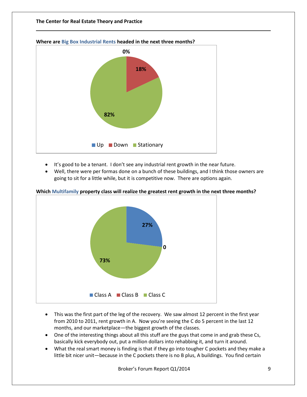

**Where are Big Box Industrial Rents headed in the next three months?**

- It's good to be a tenant. I don't see any industrial rent growth in the near future.
- Well, there were per formas done on a bunch of these buildings, and I think those owners are going to sit for a little while, but it is competitive now. There are options again.



#### **Which Multifamily property class will realize the greatest rent growth in the next three months?**

- This was the first part of the leg of the recovery. We saw almost 12 percent in the first year from 2010 to 2011, rent growth in A. Now you're seeing the C do 5 percent in the last 12 months, and our marketplace—the biggest growth of the classes.
- One of the interesting things about all this stuff are the guys that come in and grab these Cs, basically kick everybody out, put a million dollars into rehabbing it, and turn it around.
- What the real smart money is finding is that if they go into tougher C pockets and they make a little bit nicer unit—because in the C pockets there is no B plus, A buildings. You find certain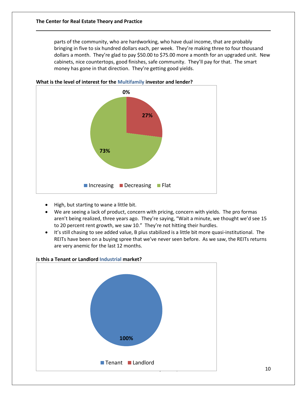parts of the community, who are hardworking, who have dual income, that are probably bringing in five to six hundred dollars each, per week. They're making three to four thousand dollars a month. They're glad to pay \$50.00 to \$75.00 more a month for an upgraded unit. New cabinets, nice countertops, good finishes, safe community. They'll pay for that. The smart money has gone in that direction. They're getting good yields.





- High, but starting to wane a little bit.
- We are seeing a lack of product, concern with pricing, concern with yields. The pro formas aren't being realized, three years ago. They're saying, "Wait a minute, we thought we'd see 15 to 20 percent rent growth, we saw 10." They're not hitting their hurdles.
- It's still chasing to see added value, B plus stabilized is a little bit more quasi-institutional. The REITs have been on a buying spree that we've never seen before. As we saw, the REITs returns are very anemic for the last 12 months.

# $\begin{array}{|c|c|c|c|c|}\hline \multicolumn{1}{|c|}{10} & & \multicolumn{1}{|c|}{10} \\\hline \end{array}$ **Is this a Tenant or Landlord Industrial market? Where are Office Vacancy Rates headed in the next three months? 100%** ■ Tenant ■ Landlord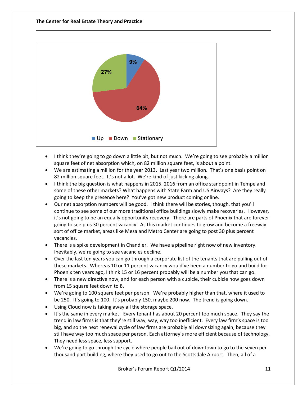

- I think they're going to go down a little bit, but not much. We're going to see probably a million square feet of net absorption which, on 82 million square feet, is about a point.
- We are estimating a million for the year 2013. Last year two million. That's one basis point on 82 million square feet. It's not a lot. We're kind of just kicking along.
- I think the big question is what happens in 2015, 2016 from an office standpoint in Tempe and some of these other markets? What happens with State Farm and US Airways? Are they really going to keep the presence here? You've got new product coming online.
- Our net absorption numbers will be good. I think there will be stories, though, that you'll continue to see some of our more traditional office buildings slowly make recoveries. However, it's not going to be an equally opportunity recovery. There are parts of Phoenix that are forever going to see plus 30 percent vacancy. As this market continues to grow and become a freeway sort of office market, areas like Mesa and Metro Center are going to post 30 plus percent vacancies.
- There is a spike development in Chandler. We have a pipeline right now of new inventory. Inevitably, we're going to see vacancies decline.
- Over the last ten years you can go through a corporate list of the tenants that are pulling out of these markets. Whereas 10 or 11 percent vacancy would've been a number to go and build for Phoenix ten years ago, I think 15 or 16 percent probably will be a number you that can go.
- There is a new directive now, and for each person with a cubicle, their cubicle now goes down from 15 square feet down to 8.
- We're going to 100 square feet per person. We're probably higher than that, where it used to be 250. It's going to 100. It's probably 150, maybe 200 now. The trend is going down.
- Using Cloud now is taking away all the storage space.
- It's the same in every market. Every tenant has about 20 percent too much space. They say the trend in law firms is that they're still way, way, way too inefficient. Every law firm's space is too big, and so the next renewal cycle of law firms are probably all downsizing again, because they still have way too much space per person. Each attorney's more efficient because of technology. They need less space, less support.
- We're going to go through the cycle where people bail out of downtown to go to the seven per thousand part building, where they used to go out to the Scottsdale Airport. Then, all of a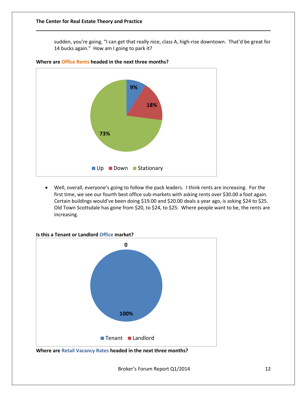sudden, you're going, "I can get that really nice, class A, high-rise downtown. That'd be great for 14 bucks again." How am I going to park it?



**Where are Office Rents headed in the next three months?**

 Well, overall, everyone's going to follow the pack leaders. I think rents are increasing. For the first time, we see our fourth best office sub-markets with asking rents over \$30.00 a foot again. Certain buildings would've been doing \$19.00 and \$20.00 deals a year ago, is asking \$24 to \$25. Old Town Scottsdale has gone from \$20, to \$24, to \$25. Where people want to be, the rents are increasing.





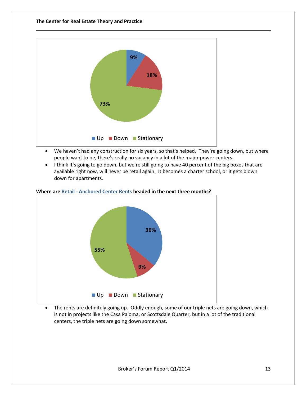

- We haven't had any construction for six years, so that's helped. They're going down, but where people want to be, there's really no vacancy in a lot of the major power centers.
- I think it's going to go down, but we're still going to have 40 percent of the big boxes that are available right now, will never be retail again. It becomes a charter school, or it gets blown down for apartments.



#### **Where are Retail - Anchored Center Rents headed in the next three months?**

• The rents are definitely going up. Oddly enough, some of our triple nets are going down, which is not in projects like the Casa Paloma, or Scottsdale Quarter, but in a lot of the traditional centers, the triple nets are going down somewhat.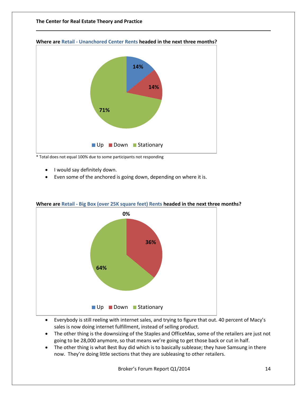

#### **Where are Retail - Unanchored Center Rents headed in the next three months?**

\* Total does not equal 100% due to some participants not responding

- I would say definitely down.
- Even some of the anchored is going down, depending on where it is.



#### **Where are Retail - Big Box (over 25K square feet) Rents headed in the next three months?**

- Everybody is still reeling with internet sales, and trying to figure that out. 40 percent of Macy's sales is now doing internet fulfillment, instead of selling product.
- The other thing is the downsizing of the Staples and OfficeMax, some of the retailers are just not going to be 28,000 anymore, so that means we're going to get those back or cut in half.
- The other thing is what Best Buy did which is to basically sublease; they have Samsung in there now. They're doing little sections that they are subleasing to other retailers.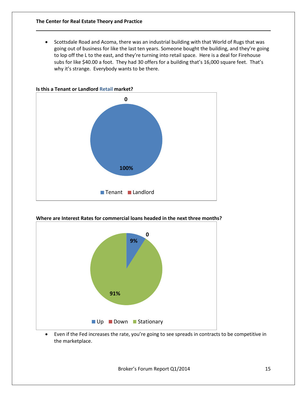Scottsdale Road and Acoma, there was an industrial building with that World of Rugs that was going out of business for like the last ten years. Someone bought the building, and they're going to lop off the L to the east, and they're turning into retail space. Here is a deal for Firehouse subs for like \$40.00 a foot. They had 30 offers for a building that's 16,000 square feet. That's why it's strange. Everybody wants to be there.



#### **Where are Interest Rates for commercial loans headed in the next three months?**



 Even if the Fed increases the rate, you're going to see spreads in contracts to be competitive in the marketplace.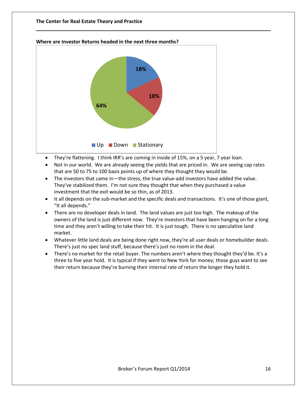



- They're flattening. I think IRR's are coming in inside of 15%, on a 5 year, 7 year loan.
- Not in our world. We are already seeing the yields that are priced in. We are seeing cap rates that are 50 to 75 to 100 basis points up of where they thought they would be.
- The investors that came in—the stress, the true value-add investors have added the value. They've stabilized them. I'm not sure they thought that when they purchased a value investment that the exit would be so thin, as of 2013.
- It all depends on the sub-market and the specific deals and transactions. It's one of those giant, "It all depends."
- There are no developer deals in land. The land values are just too high. The makeup of the owners of the land is just different now. They're investors that have been hanging on for a long time and they aren't willing to take their hit. It is just tough. There is no speculative land market.
- Whatever little land deals are being done right now, they're all user deals or homebuilder deals. There's just no spec land stuff, because there's just no room in the deal.
- There's no market for the retail buyer. The numbers aren't where they thought they'd be. It's a three to five year hold. It is typical if they went to New York for money; those guys want to see their return because they're burning their internal rate of return the longer they hold it.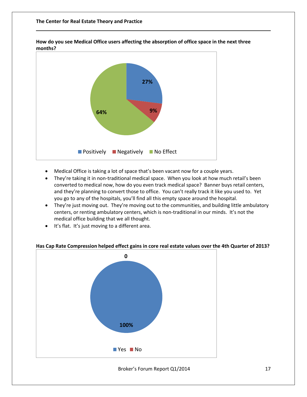

**How do you see Medical Office users affecting the absorption of office space in the next three months?**

- Medical Office is taking a lot of space that's been vacant now for a couple years.
- They're taking it in non-traditional medical space. When you look at how much retail's been converted to medical now, how do you even track medical space? Banner buys retail centers, and they're planning to convert those to office. You can't really track it like you used to. Yet you go to any of the hospitals, you'll find all this empty space around the hospital.
- They're just moving out. They're moving out to the communities, and building little ambulatory centers, or renting ambulatory centers, which is non-traditional in our minds. It's not the medical office building that we all thought.
- It's flat. It's just moving to a different area.



#### **Has Cap Rate Compression helped effect gains in core real estate values over the 4th Quarter of 2013?**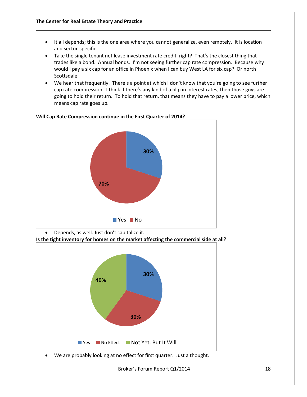- It all depends; this is the one area where you cannot generalize, even remotely. It is location and sector-specific.
- Take the single tenant net lease investment rate credit, right? That's the closest thing that trades like a bond. Annual bonds. I'm not seeing further cap rate compression. Because why would I pay a six cap for an office in Phoenix when I can buy West LA for six cap? Or north Scottsdale.
- We hear that frequently. There's a point at which I don't know that you're going to see further cap rate compression. I think if there's any kind of a blip in interest rates, then those guys are going to hold their return. To hold that return, that means they have to pay a lower price, which means cap rate goes up.



#### **Will Cap Rate Compression continue in the First Quarter of 2014?**

Depends, as well. Just don't capitalize it.

**Is the tight inventory for homes on the market affecting the commercial side at all?**



We are probably looking at no effect for first quarter. Just a thought.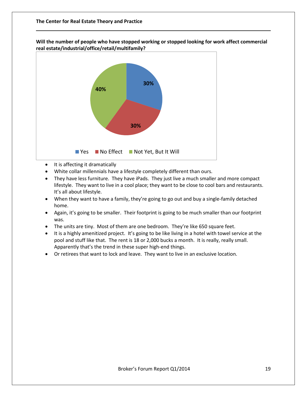**Will the number of people who have stopped working or stopped looking for work affect commercial real estate/industrial/office/retail/multifamily?**



- It is affecting it dramatically
- White collar millennials have a lifestyle completely different than ours.
- They have less furniture. They have iPads. They just live a much smaller and more compact lifestyle. They want to live in a cool place; they want to be close to cool bars and restaurants. It's all about lifestyle.
- When they want to have a family, they're going to go out and buy a single-family detached home.
- Again, it's going to be smaller. Their footprint is going to be much smaller than our footprint was.
- The units are tiny. Most of them are one bedroom. They're like 650 square feet.
- It is a highly amenitized project. It's going to be like living in a hotel with towel service at the pool and stuff like that. The rent is 18 or 2,000 bucks a month. It is really, really small. Apparently that's the trend in these super high-end things.
- Or retirees that want to lock and leave. They want to live in an exclusive location.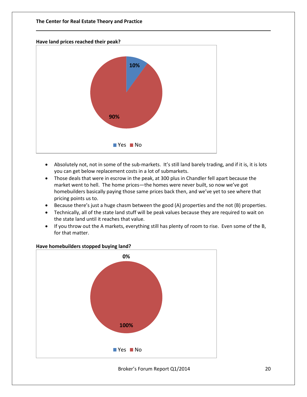#### **Have land prices reached their peak?**



- Absolutely not, not in some of the sub-markets. It's still land barely trading, and if it is, it is lots you can get below replacement costs in a lot of submarkets.
- Those deals that were in escrow in the peak, at 300 plus in Chandler fell apart because the market went to hell. The home prices—the homes were never built, so now we've got homebuilders basically paying those same prices back then, and we've yet to see where that pricing points us to.
- Because there's just a huge chasm between the good (A) properties and the not (B) properties.
- Technically, all of the state land stuff will be peak values because they are required to wait on the state land until it reaches that value.
- If you throw out the A markets, everything still has plenty of room to rise. Even some of the B, for that matter.



#### **Have homebuilders stopped buying land?**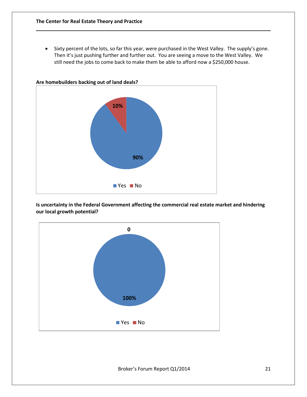• Sixty percent of the lots, so far this year, were purchased in the West Valley. The supply's gone. Then it's just pushing further and further out. You are seeing a move to the West Valley. We still need the jobs to come back to make them be able to afford now a \$250,000 house.



**Is uncertainty in the Federal Government affecting the commercial real estate market and hindering our local growth potential?**